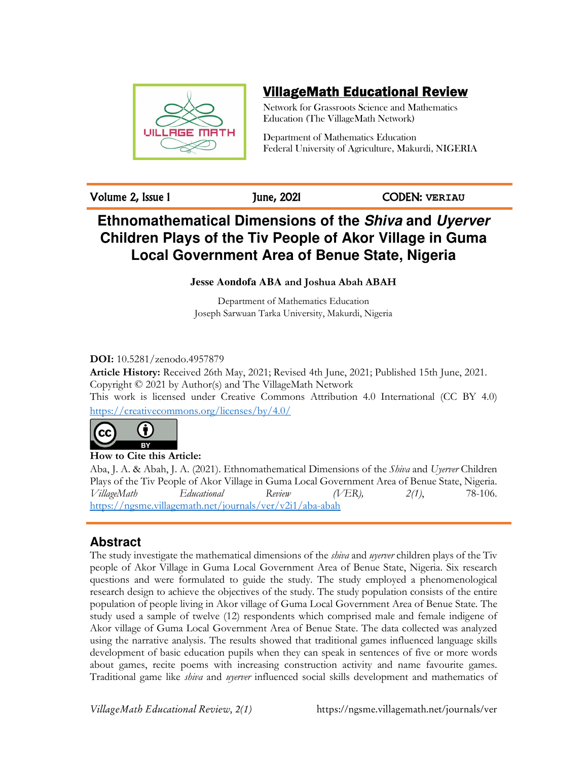

# VillageMath Educational Review

Network for Grassroots Science and Mathematics Education (The VillageMath Network)

Department of Mathematics Education Federal University of Agriculture, Makurdi, NIGERIA

Volume 2, Issue 1 June, 2021 CODEN: **VERIAU**

# **Ethnomathematical Dimensions of the Shiva and Uyerver Children Plays of the Tiv People of Akor Village in Guma Local Government Area of Benue State, Nigeria**

**Jesse Aondofa ABA and Joshua Abah ABAH** 

Department of Mathematics Education Joseph Sarwuan Tarka University, Makurdi, Nigeria

**DOI:** 10.5281/zenodo.4957879

**Article History:** Received 26th May, 2021; Revised 4th June, 2021; Published 15th June, 2021. Copyright © 2021 by Author(s) and The VillageMath Network This work is licensed under Creative Commons Attribution 4.0 International (CC BY 4.0)

https://creativecommons.org/licenses/by/4.0/



Aba, J. A. & Abah, J. A. (2021). Ethnomathematical Dimensions of the *Shiva* and *Uyerver* Children Plays of the Tiv People of Akor Village in Guma Local Government Area of Benue State, Nigeria. *VillageMath Educational Review (VER), 2(1)*, 78-106. https://ngsme.villagemath.net/journals/ver/v2i1/aba-abah

## **Abstract**

The study investigate the mathematical dimensions of the *shiva* and *uyerver* children plays of the Tiv people of Akor Village in Guma Local Government Area of Benue State, Nigeria. Six research questions and were formulated to guide the study. The study employed a phenomenological research design to achieve the objectives of the study. The study population consists of the entire population of people living in Akor village of Guma Local Government Area of Benue State. The study used a sample of twelve (12) respondents which comprised male and female indigene of Akor village of Guma Local Government Area of Benue State. The data collected was analyzed using the narrative analysis. The results showed that traditional games influenced language skills development of basic education pupils when they can speak in sentences of five or more words about games, recite poems with increasing construction activity and name favourite games. Traditional game like *shiva* and *uyerver* influenced social skills development and mathematics of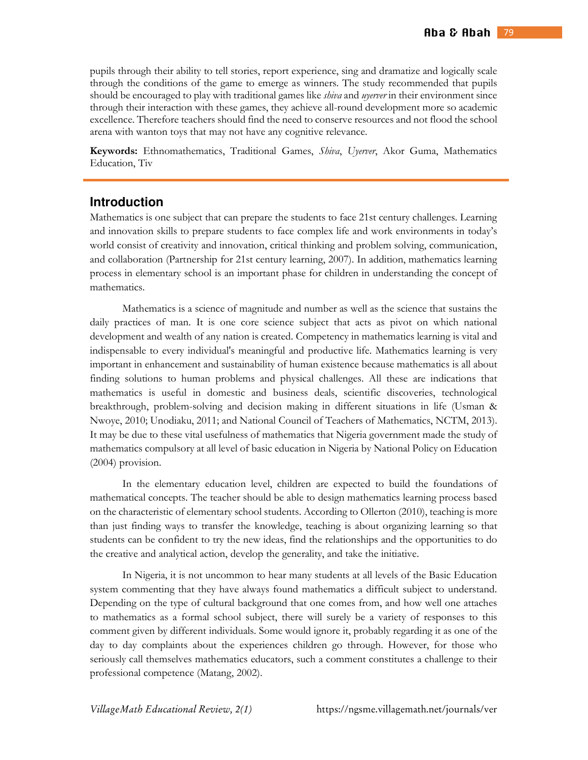pupils through their ability to tell stories, report experience, sing and dramatize and logically scale through the conditions of the game to emerge as winners. The study recommended that pupils should be encouraged to play with traditional games like *shiva* and *uyerver* in their environment since through their interaction with these games, they achieve all-round development more so academic excellence. Therefore teachers should find the need to conserve resources and not flood the school arena with wanton toys that may not have any cognitive relevance.

**Keywords:** Ethnomathematics, Traditional Games, *Shiva*, *Uyerver*, Akor Guma, Mathematics Education, Tiv

## **Introduction**

Mathematics is one subject that can prepare the students to face 21st century challenges. Learning and innovation skills to prepare students to face complex life and work environments in today's world consist of creativity and innovation, critical thinking and problem solving, communication, and collaboration (Partnership for 21st century learning, 2007). In addition, mathematics learning process in elementary school is an important phase for children in understanding the concept of mathematics.

 Mathematics is a science of magnitude and number as well as the science that sustains the daily practices of man. It is one core science subject that acts as pivot on which national development and wealth of any nation is created. Competency in mathematics learning is vital and indispensable to every individual's meaningful and productive life. Mathematics learning is very important in enhancement and sustainability of human existence because mathematics is all about finding solutions to human problems and physical challenges. All these are indications that mathematics is useful in domestic and business deals, scientific discoveries, technological breakthrough, problem-solving and decision making in different situations in life (Usman & Nwoye, 2010; Unodiaku, 2011; and National Council of Teachers of Mathematics, NCTM, 2013). It may be due to these vital usefulness of mathematics that Nigeria government made the study of mathematics compulsory at all level of basic education in Nigeria by National Policy on Education (2004) provision.

 In the elementary education level, children are expected to build the foundations of mathematical concepts. The teacher should be able to design mathematics learning process based on the characteristic of elementary school students. According to Ollerton (2010), teaching is more than just finding ways to transfer the knowledge, teaching is about organizing learning so that students can be confident to try the new ideas, find the relationships and the opportunities to do the creative and analytical action, develop the generality, and take the initiative.

 In Nigeria, it is not uncommon to hear many students at all levels of the Basic Education system commenting that they have always found mathematics a difficult subject to understand. Depending on the type of cultural background that one comes from, and how well one attaches to mathematics as a formal school subject, there will surely be a variety of responses to this comment given by different individuals. Some would ignore it, probably regarding it as one of the day to day complaints about the experiences children go through. However, for those who seriously call themselves mathematics educators, such a comment constitutes a challenge to their professional competence (Matang, 2002).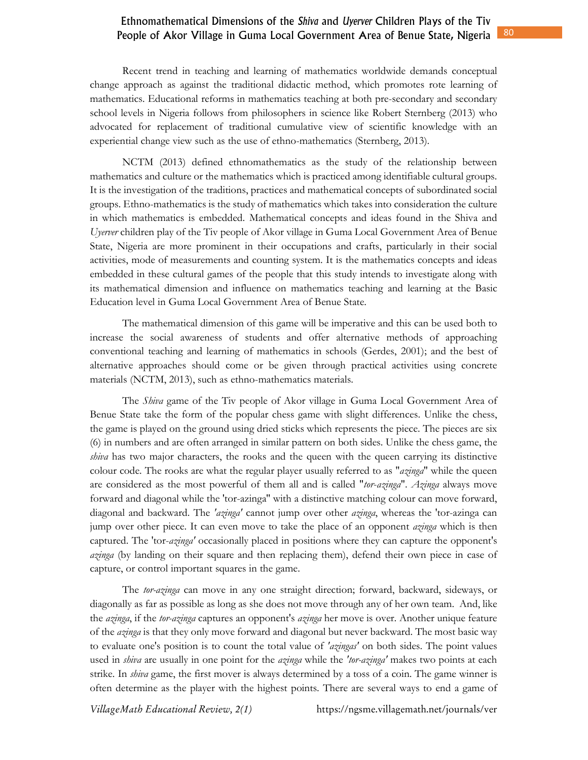Recent trend in teaching and learning of mathematics worldwide demands conceptual change approach as against the traditional didactic method, which promotes rote learning of mathematics. Educational reforms in mathematics teaching at both pre-secondary and secondary school levels in Nigeria follows from philosophers in science like Robert Sternberg (2013) who advocated for replacement of traditional cumulative view of scientific knowledge with an experiential change view such as the use of ethno-mathematics (Sternberg, 2013).

 NCTM (2013) defined ethnomathematics as the study of the relationship between mathematics and culture or the mathematics which is practiced among identifiable cultural groups. It is the investigation of the traditions, practices and mathematical concepts of subordinated social groups. Ethno-mathematics is the study of mathematics which takes into consideration the culture in which mathematics is embedded. Mathematical concepts and ideas found in the Shiva and *Uyerver* children play of the Tiv people of Akor village in Guma Local Government Area of Benue State, Nigeria are more prominent in their occupations and crafts, particularly in their social activities, mode of measurements and counting system. It is the mathematics concepts and ideas embedded in these cultural games of the people that this study intends to investigate along with its mathematical dimension and influence on mathematics teaching and learning at the Basic Education level in Guma Local Government Area of Benue State.

 The mathematical dimension of this game will be imperative and this can be used both to increase the social awareness of students and offer alternative methods of approaching conventional teaching and learning of mathematics in schools (Gerdes, 2001); and the best of alternative approaches should come or be given through practical activities using concrete materials (NCTM, 2013), such as ethno-mathematics materials.

 The *Shiva* game of the Tiv people of Akor village in Guma Local Government Area of Benue State take the form of the popular chess game with slight differences. Unlike the chess, the game is played on the ground using dried sticks which represents the piece. The pieces are six (6) in numbers and are often arranged in similar pattern on both sides. Unlike the chess game, the *shiva* has two major characters, the rooks and the queen with the queen carrying its distinctive colour code. The rooks are what the regular player usually referred to as "*azinga*" while the queen are considered as the most powerful of them all and is called "*tor*-*azinga*". *Azinga* always move forward and diagonal while the 'tor-azinga'' with a distinctive matching colour can move forward, diagonal and backward. The *'azinga'* cannot jump over other *azinga*, whereas the 'tor-azinga can jump over other piece. It can even move to take the place of an opponent *azinga* which is then captured. The 'tor-*azinga'* occasionally placed in positions where they can capture the opponent's *azinga* (by landing on their square and then replacing them), defend their own piece in case of capture, or control important squares in the game.

The *tor-azinga* can move in any one straight direction; forward, backward, sideways, or diagonally as far as possible as long as she does not move through any of her own team. And, like the *azinga*, if the *tor-azinga* captures an opponent's *azinga* her move is over. Another unique feature of the *azinga* is that they only move forward and diagonal but never backward. The most basic way to evaluate one's position is to count the total value of *'azingas'* on both sides. The point values used in *shiva* are usually in one point for the *azinga* while the *'tor-azinga'* makes two points at each strike. In *shiva* game, the first mover is always determined by a toss of a coin. The game winner is often determine as the player with the highest points. There are several ways to end a game of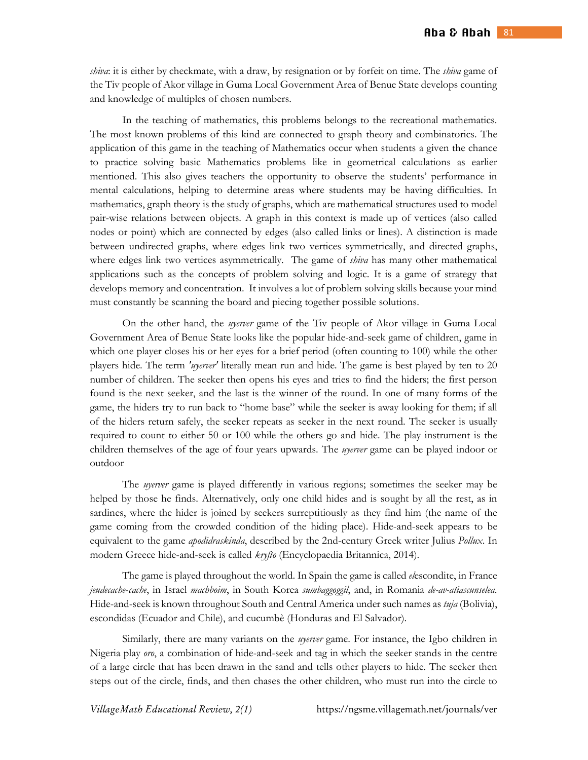*shiva*: it is either by checkmate, with a draw, by resignation or by forfeit on time. The *shiva* game of the Tiv people of Akor village in Guma Local Government Area of Benue State develops counting and knowledge of multiples of chosen numbers.

 In the teaching of mathematics, this problems belongs to the recreational mathematics. The most known problems of this kind are connected to graph theory and combinatorics. The application of this game in the teaching of Mathematics occur when students a given the chance to practice solving basic Mathematics problems like in geometrical calculations as earlier mentioned. This also gives teachers the opportunity to observe the students' performance in mental calculations, helping to determine areas where students may be having difficulties. In mathematics, graph theory is the study of graphs, which are mathematical structures used to model pair-wise relations between objects. A graph in this context is made up of vertices (also called nodes or point) which are connected by edges (also called links or lines). A distinction is made between undirected graphs, where edges link two vertices symmetrically, and directed graphs, where edges link two vertices asymmetrically. The game of *shiva* has many other mathematical applications such as the concepts of problem solving and logic. It is a game of strategy that develops memory and concentration. It involves a lot of problem solving skills because your mind must constantly be scanning the board and piecing together possible solutions.

 On the other hand, the *uyerver* game of the Tiv people of Akor village in Guma Local Government Area of Benue State looks like the popular hide-and-seek game of children, game in which one player closes his or her eyes for a brief period (often counting to 100) while the other players hide. The term *'uyerver'* literally mean run and hide. The game is best played by ten to 20 number of children. The seeker then opens his eyes and tries to find the hiders; the first person found is the next seeker, and the last is the winner of the round. In one of many forms of the game, the hiders try to run back to "home base" while the seeker is away looking for them; if all of the hiders return safely, the seeker repeats as seeker in the next round. The seeker is usually required to count to either 50 or 100 while the others go and hide. The play instrument is the children themselves of the age of four years upwards. The *uyerver* game can be played indoor or outdoor

 The *uyerver* game is played differently in various regions; sometimes the seeker may be helped by those he finds. Alternatively, only one child hides and is sought by all the rest, as in sardines, where the hider is joined by seekers surreptitiously as they find him (the name of the game coming from the crowded condition of the hiding place). Hide-and-seek appears to be equivalent to the game *apodidraskinda*, described by the 2nd-century Greek writer Julius *Pollux*. In modern Greece hide-and-seek is called *kryfto* (Encyclopaedia Britannica, 2014).

 The game is played throughout the world. In Spain the game is called *el*escondite, in France *jeudecache*-*cache*, in Israel *machboim*, in South Korea *sumbaggoggil*, and, in Romania *de-av-atiascunselea*. Hide-and-seek is known throughout South and Central America under such names as *tuja* (Bolivia), escondidas (Ecuador and Chile), and cucumbè (Honduras and El Salvador).

 Similarly, there are many variants on the *uyerver* game. For instance, the Igbo children in Nigeria play *oro*, a combination of hide-and-seek and tag in which the seeker stands in the centre of a large circle that has been drawn in the sand and tells other players to hide. The seeker then steps out of the circle, finds, and then chases the other children, who must run into the circle to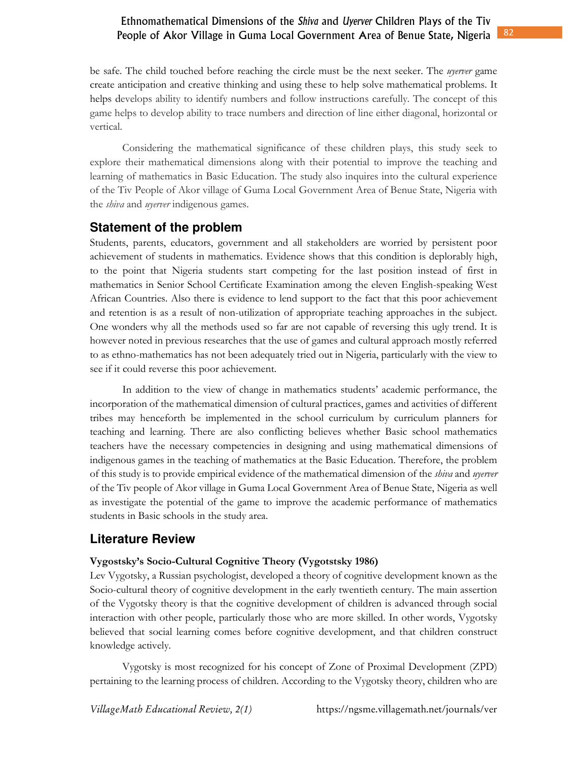be safe. The child touched before reaching the circle must be the next seeker. The *uyerver* game create anticipation and creative thinking and using these to help solve mathematical problems. It helps develops ability to identify numbers and follow instructions carefully. The concept of this game helps to develop ability to trace numbers and direction of line either diagonal, horizontal or vertical.

Considering the mathematical significance of these children plays, this study seek to explore their mathematical dimensions along with their potential to improve the teaching and learning of mathematics in Basic Education. The study also inquires into the cultural experience of the Tiv People of Akor village of Guma Local Government Area of Benue State, Nigeria with the *shiva* and *uyerver* indigenous games.

## **Statement of the problem**

Students, parents, educators, government and all stakeholders are worried by persistent poor achievement of students in mathematics. Evidence shows that this condition is deplorably high, to the point that Nigeria students start competing for the last position instead of first in mathematics in Senior School Certificate Examination among the eleven English-speaking West African Countries. Also there is evidence to lend support to the fact that this poor achievement and retention is as a result of non-utilization of appropriate teaching approaches in the subject. One wonders why all the methods used so far are not capable of reversing this ugly trend. It is however noted in previous researches that the use of games and cultural approach mostly referred to as ethno-mathematics has not been adequately tried out in Nigeria, particularly with the view to see if it could reverse this poor achievement.

 In addition to the view of change in mathematics students' academic performance, the incorporation of the mathematical dimension of cultural practices, games and activities of different tribes may henceforth be implemented in the school curriculum by curriculum planners for teaching and learning. There are also conflicting believes whether Basic school mathematics teachers have the necessary competencies in designing and using mathematical dimensions of indigenous games in the teaching of mathematics at the Basic Education. Therefore, the problem of this study is to provide empirical evidence of the mathematical dimension of the *shiva* and *uyerver* of the Tiv people of Akor village in Guma Local Government Area of Benue State, Nigeria as well as investigate the potential of the game to improve the academic performance of mathematics students in Basic schools in the study area.

## **Literature Review**

#### **Vygostsky's Socio-Cultural Cognitive Theory (Vygotstsky 1986)**

Lev Vygotsky, a Russian psychologist, developed a theory of cognitive development known as the Socio-cultural theory of cognitive development in the early twentieth century. The main assertion of the Vygotsky theory is that the cognitive development of children is advanced through social interaction with other people, particularly those who are more skilled. In other words, Vygotsky believed that social learning comes before cognitive development, and that children construct knowledge actively.

 Vygotsky is most recognized for his concept of Zone of Proximal Development (ZPD) pertaining to the learning process of children. According to the Vygotsky theory, children who are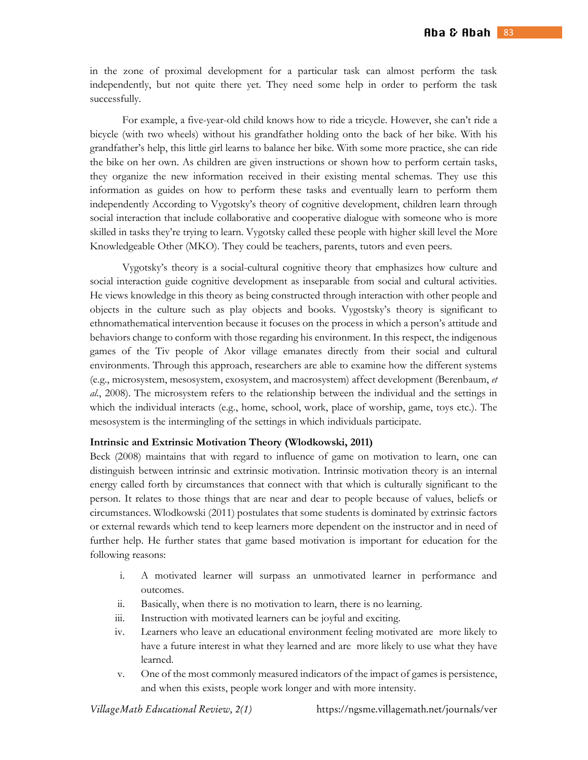in the zone of proximal development for a particular task can almost perform the task independently, but not quite there yet. They need some help in order to perform the task successfully.

For example, a five-year-old child knows how to ride a tricycle. However, she can't ride a bicycle (with two wheels) without his grandfather holding onto the back of her bike. With his grandfather's help, this little girl learns to balance her bike. With some more practice, she can ride the bike on her own. As children are given instructions or shown how to perform certain tasks, they organize the new information received in their existing mental schemas. They use this information as guides on how to perform these tasks and eventually learn to perform them independently According to Vygotsky's theory of cognitive development, children learn through social interaction that include collaborative and cooperative dialogue with someone who is more skilled in tasks they're trying to learn. Vygotsky called these people with higher skill level the More Knowledgeable Other (MKO). They could be teachers, parents, tutors and even peers.

 Vygotsky's theory is a social-cultural cognitive theory that emphasizes how culture and social interaction guide cognitive development as inseparable from social and cultural activities. He views knowledge in this theory as being constructed through interaction with other people and objects in the culture such as play objects and books. Vygostsky's theory is significant to ethnomathematical intervention because it focuses on the process in which a person's attitude and behaviors change to conform with those regarding his environment. In this respect, the indigenous games of the Tiv people of Akor village emanates directly from their social and cultural environments. Through this approach, researchers are able to examine how the different systems (e.g., microsystem, mesosystem, exosystem, and macrosystem) affect development (Berenbaum, *et al*., 2008). The microsystem refers to the relationship between the individual and the settings in which the individual interacts (e.g., home, school, work, place of worship, game, toys etc.). The mesosystem is the intermingling of the settings in which individuals participate.

#### **Intrinsic and Extrinsic Motivation Theory (Wlodkowski, 2011)**

Beck (2008) maintains that with regard to influence of game on motivation to learn, one can distinguish between intrinsic and extrinsic motivation. Intrinsic motivation theory is an internal energy called forth by circumstances that connect with that which is culturally significant to the person. It relates to those things that are near and dear to people because of values, beliefs or circumstances. Wlodkowski (2011) postulates that some students is dominated by extrinsic factors or external rewards which tend to keep learners more dependent on the instructor and in need of further help. He further states that game based motivation is important for education for the following reasons:

- i. A motivated learner will surpass an unmotivated learner in performance and outcomes.
- ii. Basically, when there is no motivation to learn, there is no learning.
- iii. Instruction with motivated learners can be joyful and exciting.
- iv. Learners who leave an educational environment feeling motivated are more likely to have a future interest in what they learned and are more likely to use what they have learned.
- v. One of the most commonly measured indicators of the impact of games is persistence, and when this exists, people work longer and with more intensity.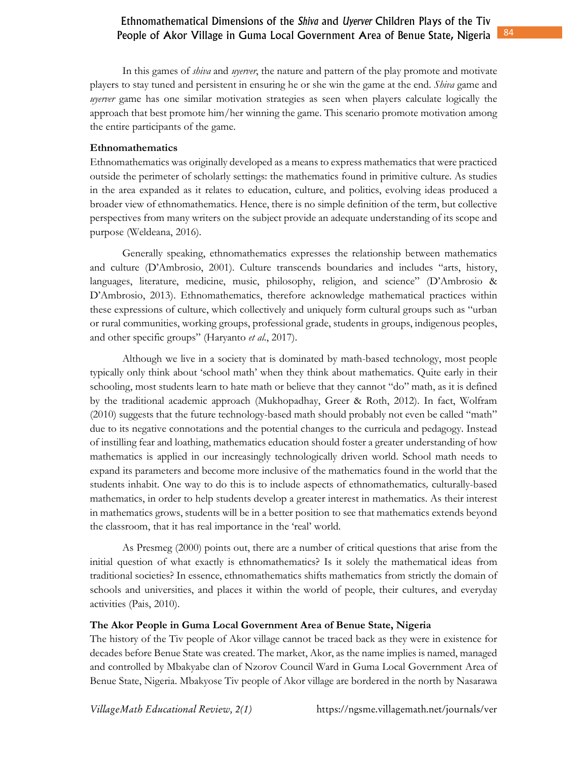In this games of *shiva* and *uyerver*, the nature and pattern of the play promote and motivate players to stay tuned and persistent in ensuring he or she win the game at the end. *Shiva* game and *uyerver* game has one similar motivation strategies as seen when players calculate logically the approach that best promote him/her winning the game. This scenario promote motivation among the entire participants of the game.

#### **Ethnomathematics**

Ethnomathematics was originally developed as a means to express mathematics that were practiced outside the perimeter of scholarly settings: the mathematics found in primitive culture. As studies in the area expanded as it relates to education, culture, and politics, evolving ideas produced a broader view of ethnomathematics. Hence, there is no simple definition of the term, but collective perspectives from many writers on the subject provide an adequate understanding of its scope and purpose (Weldeana, 2016).

 Generally speaking, ethnomathematics expresses the relationship between mathematics and culture (D'Ambrosio, 2001). Culture transcends boundaries and includes "arts, history, languages, literature, medicine, music, philosophy, religion, and science" (D'Ambrosio & D'Ambrosio, 2013). Ethnomathematics, therefore acknowledge mathematical practices within these expressions of culture, which collectively and uniquely form cultural groups such as "urban or rural communities, working groups, professional grade, students in groups, indigenous peoples, and other specific groups" (Haryanto *et al*., 2017).

 Although we live in a society that is dominated by math-based technology, most people typically only think about 'school math' when they think about mathematics. Quite early in their schooling, most students learn to hate math or believe that they cannot "do" math, as it is defined by the traditional academic approach (Mukhopadhay, Greer & Roth, 2012). In fact, Wolfram (2010) suggests that the future technology-based math should probably not even be called "math" due to its negative connotations and the potential changes to the curricula and pedagogy. Instead of instilling fear and loathing, mathematics education should foster a greater understanding of how mathematics is applied in our increasingly technologically driven world. School math needs to expand its parameters and become more inclusive of the mathematics found in the world that the students inhabit. One way to do this is to include aspects of ethnomathematics*,* culturally-based mathematics, in order to help students develop a greater interest in mathematics. As their interest in mathematics grows, students will be in a better position to see that mathematics extends beyond the classroom, that it has real importance in the 'real' world.

 As Presmeg (2000) points out, there are a number of critical questions that arise from the initial question of what exactly is ethnomathematics? Is it solely the mathematical ideas from traditional societies? In essence, ethnomathematics shifts mathematics from strictly the domain of schools and universities, and places it within the world of people, their cultures, and everyday activities (Pais, 2010).

#### **The Akor People in Guma Local Government Area of Benue State, Nigeria**

The history of the Tiv people of Akor village cannot be traced back as they were in existence for decades before Benue State was created. The market, Akor, as the name implies is named, managed and controlled by Mbakyabe clan of Nzorov Council Ward in Guma Local Government Area of Benue State, Nigeria. Mbakyose Tiv people of Akor village are bordered in the north by Nasarawa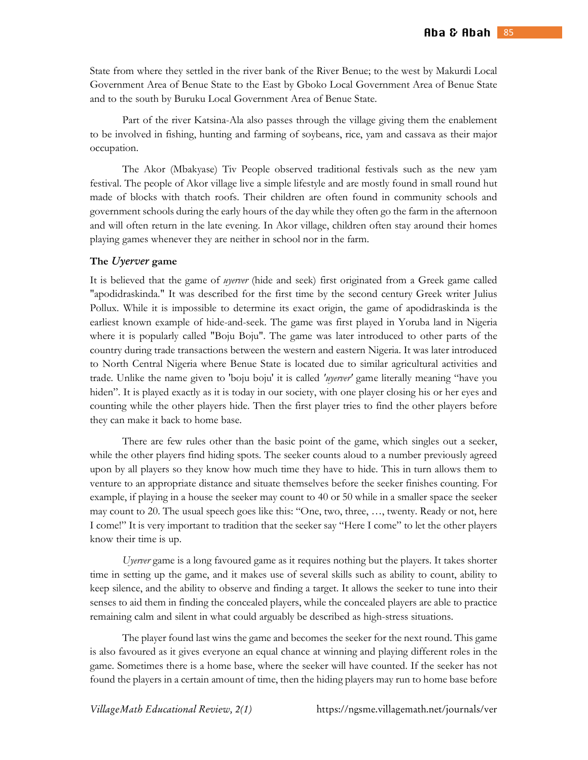State from where they settled in the river bank of the River Benue; to the west by Makurdi Local Government Area of Benue State to the East by Gboko Local Government Area of Benue State and to the south by Buruku Local Government Area of Benue State.

Part of the river Katsina-Ala also passes through the village giving them the enablement to be involved in fishing, hunting and farming of soybeans, rice, yam and cassava as their major occupation.

The Akor (Mbakyase) Tiv People observed traditional festivals such as the new yam festival. The people of Akor village live a simple lifestyle and are mostly found in small round hut made of blocks with thatch roofs. Their children are often found in community schools and government schools during the early hours of the day while they often go the farm in the afternoon and will often return in the late evening. In Akor village, children often stay around their homes playing games whenever they are neither in school nor in the farm.

#### **The** *Uyerver* **game**

It is believed that the game of *uyerver* (hide and seek) first originated from a Greek game called "apodidraskinda." It was described for the first time by the second century Greek writer Julius Pollux. While it is impossible to determine its exact origin, the game of apodidraskinda is the earliest known example of hide-and-seek. The game was first played in Yoruba land in Nigeria where it is popularly called "Boju Boju". The game was later introduced to other parts of the country during trade transactions between the western and eastern Nigeria. It was later introduced to North Central Nigeria where Benue State is located due to similar agricultural activities and trade. Unlike the name given to 'boju boju' it is called *'uyerver'* game literally meaning "have you hiden". It is played exactly as it is today in our society, with one player closing his or her eyes and counting while the other players hide. Then the first player tries to find the other players before they can make it back to home base.

 There are few rules other than the basic point of the game, which singles out a seeker, while the other players find hiding spots. The seeker counts aloud to a number previously agreed upon by all players so they know how much time they have to hide. This in turn allows them to venture to an appropriate distance and situate themselves before the seeker finishes counting. For example, if playing in a house the seeker may count to 40 or 50 while in a smaller space the seeker may count to 20. The usual speech goes like this: "One, two, three, …, twenty. Ready or not, here I come!" It is very important to tradition that the seeker say "Here I come" to let the other players know their time is up.

*Uyerver* game is a long favoured game as it requires nothing but the players. It takes shorter time in setting up the game, and it makes use of several skills such as ability to count, ability to keep silence, and the ability to observe and finding a target. It allows the seeker to tune into their senses to aid them in finding the concealed players, while the concealed players are able to practice remaining calm and silent in what could arguably be described as high-stress situations.

 The player found last wins the game and becomes the seeker for the next round. This game is also favoured as it gives everyone an equal chance at winning and playing different roles in the game. Sometimes there is a home base, where the seeker will have counted. If the seeker has not found the players in a certain amount of time, then the hiding players may run to home base before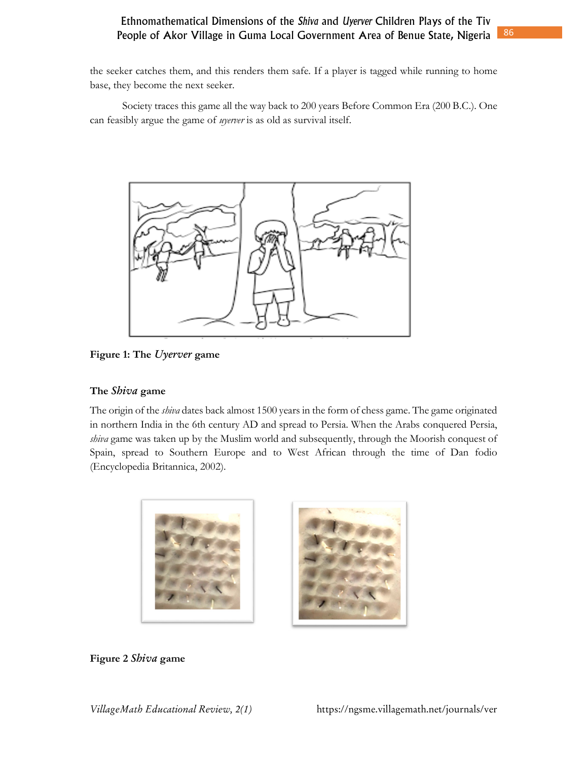the seeker catches them, and this renders them safe. If a player is tagged while running to home base, they become the next seeker.

 Society traces this game all the way back to 200 years Before Common Era (200 B.C.). One can feasibly argue the game of *uyerver* is as old as survival itself.



**Figure 1: The** *Uyerver* **game** 

## **The** *Shiva* **game**

The origin of the *shiva* dates back almost 1500 years in the form of chess game. The game originated in northern India in the 6th century AD and spread to Persia. When the Arabs conquered Persia, *shiva* game was taken up by the Muslim world and subsequently, through the Moorish conquest of Spain, spread to Southern Europe and to West African through the time of Dan fodio (Encyclopedia Britannica, 2002).



**Figure 2** *Shiva* **game**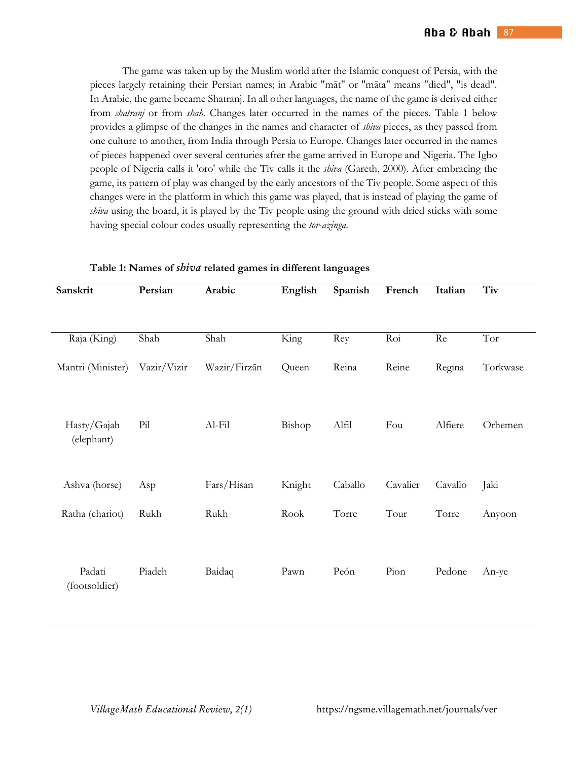The game was taken up by the Muslim world after the Islamic conquest of Persia, with the pieces largely retaining their Persian names; in Arabic "māt" or "māta" means "died", "is dead". In Arabic, the game became Shatranj. In all other languages, the name of the game is derived either from *shatranj* or from *shah*. Changes later occurred in the names of the pieces. Table 1 below provides a glimpse of the changes in the names and character of *shiva* pieces, as they passed from one culture to another, from India through Persia to Europe. Changes later occurred in the names of pieces happened over several centuries after the game arrived in Europe and Nigeria. The Igbo people of Nigeria calls it 'oro' while the Tiv calls it the *shiva* (Gareth, 2000). After embracing the game, its pattern of play was changed by the early ancestors of the Tiv people. Some aspect of this changes were in the platform in which this game was played, that is instead of playing the game of *shiva* using the board, it is played by the Tiv people using the ground with dried sticks with some having special colour codes usually representing the *tor*-*azinga*.

| Sanskrit                  | Persian     | Arabic       | English | Spanish | French   | Italian | Tiv      |
|---------------------------|-------------|--------------|---------|---------|----------|---------|----------|
|                           |             |              |         |         |          |         |          |
| Raja (King)               | Shah        | Shah         | King    | Rey     | Roi      | Re      | Tor      |
| Mantri (Minister)         | Vazir/Vizir | Wazir/Firzān | Queen   | Reina   | Reine    | Regina  | Torkwase |
| Hasty/Gajah<br>(elephant) | Pil         | $Al$ - $Fil$ | Bishop  | Alfil   | Fou      | Alfiere | Orhemen  |
| Ashva (horse)             | Asp         | Fars/Hisan   | Knight  | Caballo | Cavalier | Cavallo | Jaki     |
| Ratha (chariot)           | Rukh        | Rukh         | Rook    | Torre   | Tour     | Torre   | Anyoon   |
| Padati<br>(footsoldier)   | Piadeh      | Baidaq       | Pawn    | Peón    | Pion     | Pedone  | An-ye    |

**Table 1: Names of** *shiva* **related games in different languages**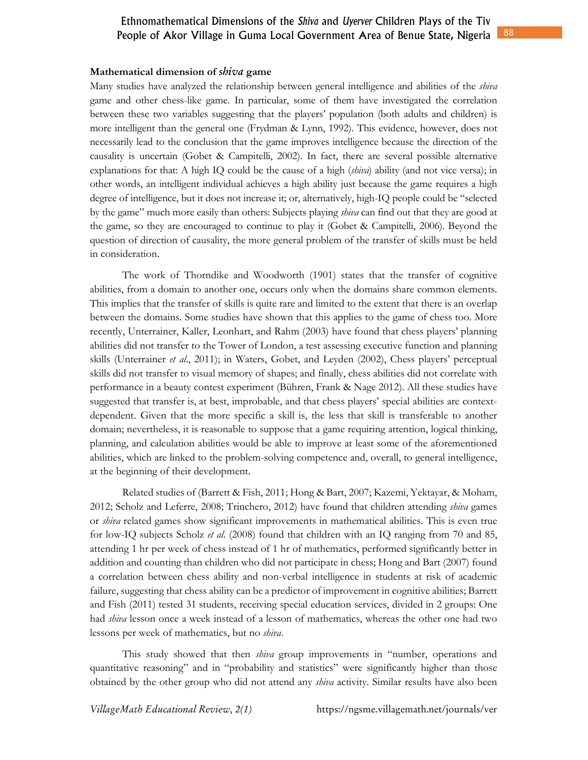#### **Mathematical dimension of** *shiva* **game**

Many studies have analyzed the relationship between general intelligence and abilities of the *shiva*  game and other chess-like game. In particular, some of them have investigated the correlation between these two variables suggesting that the players' population (both adults and children) is more intelligent than the general one (Frydman & Lynn, 1992). This evidence, however, does not necessarily lead to the conclusion that the game improves intelligence because the direction of the causality is uncertain (Gobet & Campitelli, 2002). In fact, there are several possible alternative explanations for that: A high IQ could be the cause of a high (*shiva*) ability (and not vice versa); in other words, an intelligent individual achieves a high ability just because the game requires a high degree of intelligence, but it does not increase it; or, alternatively, high-IQ people could be "selected by the game" much more easily than others: Subjects playing *shiva* can find out that they are good at the game, so they are encouraged to continue to play it (Gobet & Campitelli, 2006). Beyond the question of direction of causality, the more general problem of the transfer of skills must be held in consideration.

 The work of Thorndike and Woodworth (1901) states that the transfer of cognitive abilities, from a domain to another one, occurs only when the domains share common elements. This implies that the transfer of skills is quite rare and limited to the extent that there is an overlap between the domains. Some studies have shown that this applies to the game of chess too. More recently, Unterrainer, Kaller, Leonhart, and Rahm (2003) have found that chess players' planning abilities did not transfer to the Tower of London, a test assessing executive function and planning skills (Unterrainer *et al*., 2011); in Waters, Gobet, and Leyden (2002), Chess players' perceptual skills did not transfer to visual memory of shapes; and finally, chess abilities did not correlate with performance in a beauty contest experiment (Bühren, Frank & Nage 2012). All these studies have suggested that transfer is, at best, improbable, and that chess players' special abilities are contextdependent. Given that the more specific a skill is, the less that skill is transferable to another domain; nevertheless, it is reasonable to suppose that a game requiring attention, logical thinking, planning, and calculation abilities would be able to improve at least some of the aforementioned abilities, which are linked to the problem-solving competence and, overall, to general intelligence, at the beginning of their development.

 Related studies of (Barrett & Fish, 2011; Hong & Bart, 2007; Kazemi, Yektayar, & Moham, 2012; Scholz and Leferre, 2008; Trinchero, 2012) have found that children attending *shiva* games or *shiva* related games show significant improvements in mathematical abilities. This is even true for low-IQ subjects Scholz *et al*. (2008) found that children with an IQ ranging from 70 and 85, attending 1 hr per week of chess instead of 1 hr of mathematics, performed significantly better in addition and counting than children who did not participate in chess; Hong and Bart (2007) found a correlation between chess ability and non-verbal intelligence in students at risk of academic failure, suggesting that chess ability can be a predictor of improvement in cognitive abilities; Barrett and Fish (2011) tested 31 students, receiving special education services, divided in 2 groups: One had *shiva* lesson once a week instead of a lesson of mathematics, whereas the other one had two lessons per week of mathematics, but no *shiva*.

 This study showed that then *shiva* group improvements in "number, operations and quantitative reasoning" and in "probability and statistics" were significantly higher than those obtained by the other group who did not attend any *shiva* activity. Similar results have also been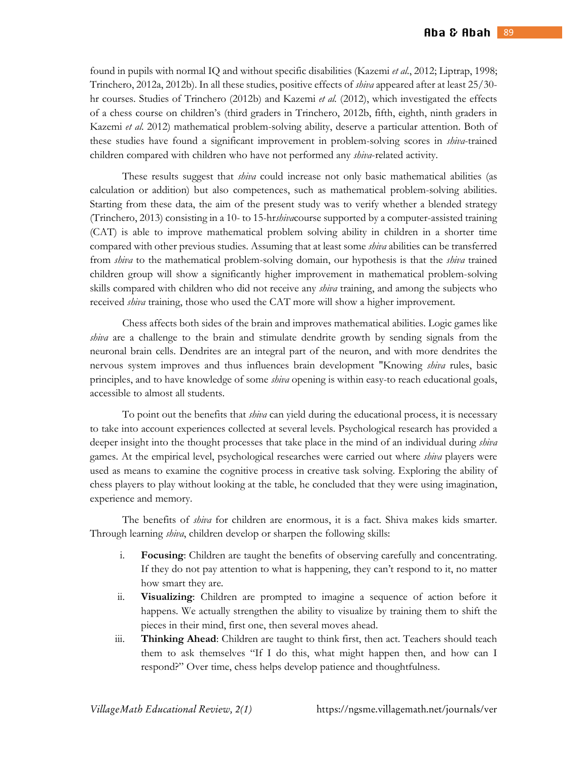found in pupils with normal IQ and without specific disabilities (Kazemi *et al*., 2012; Liptrap, 1998; Trinchero, 2012a, 2012b). In all these studies, positive effects of *shiva* appeared after at least 25/30 hr courses. Studies of Trinchero (2012b) and Kazemi *et al.* (2012), which investigated the effects of a chess course on children's (third graders in Trinchero, 2012b, fifth, eighth, ninth graders in Kazemi *et al*. 2012) mathematical problem-solving ability, deserve a particular attention. Both of these studies have found a significant improvement in problem-solving scores in *shiva*-trained children compared with children who have not performed any *shiva*-related activity.

 These results suggest that *shiva* could increase not only basic mathematical abilities (as calculation or addition) but also competences, such as mathematical problem-solving abilities. Starting from these data, the aim of the present study was to verify whether a blended strategy (Trinchero, 2013) consisting in a 10- to 15-hr*shiva*course supported by a computer-assisted training (CAT) is able to improve mathematical problem solving ability in children in a shorter time compared with other previous studies. Assuming that at least some *shiva* abilities can be transferred from *shiva* to the mathematical problem-solving domain, our hypothesis is that the *shiva* trained children group will show a significantly higher improvement in mathematical problem-solving skills compared with children who did not receive any *shiva* training, and among the subjects who received *shiva* training, those who used the CAT more will show a higher improvement.

 Chess affects both sides of the brain and improves mathematical abilities. Logic games like *shiva* are a challenge to the brain and stimulate dendrite growth by sending signals from the neuronal brain cells. Dendrites are an integral part of the neuron, and with more dendrites the nervous system improves and thus influences brain development "Knowing *shiva* rules, basic principles, and to have knowledge of some *shiva* opening is within easy-to reach educational goals, accessible to almost all students.

 To point out the benefits that *shiva* can yield during the educational process, it is necessary to take into account experiences collected at several levels. Psychological research has provided a deeper insight into the thought processes that take place in the mind of an individual during *shiva* games. At the empirical level, psychological researches were carried out where *shiva* players were used as means to examine the cognitive process in creative task solving. Exploring the ability of chess players to play without looking at the table, he concluded that they were using imagination, experience and memory.

 The benefits of *shiva* for children are enormous, it is a fact. Shiva makes kids smarter. Through learning *shiva*, children develop or sharpen the following skills:

- i. **Focusing**: Children are taught the benefits of observing carefully and concentrating. If they do not pay attention to what is happening, they can't respond to it, no matter how smart they are.
- ii. **Visualizing**: Children are prompted to imagine a sequence of action before it happens. We actually strengthen the ability to visualize by training them to shift the pieces in their mind, first one, then several moves ahead.
- iii. **Thinking Ahead**: Children are taught to think first, then act. Teachers should teach them to ask themselves "If I do this, what might happen then, and how can I respond?" Over time, chess helps develop patience and thoughtfulness.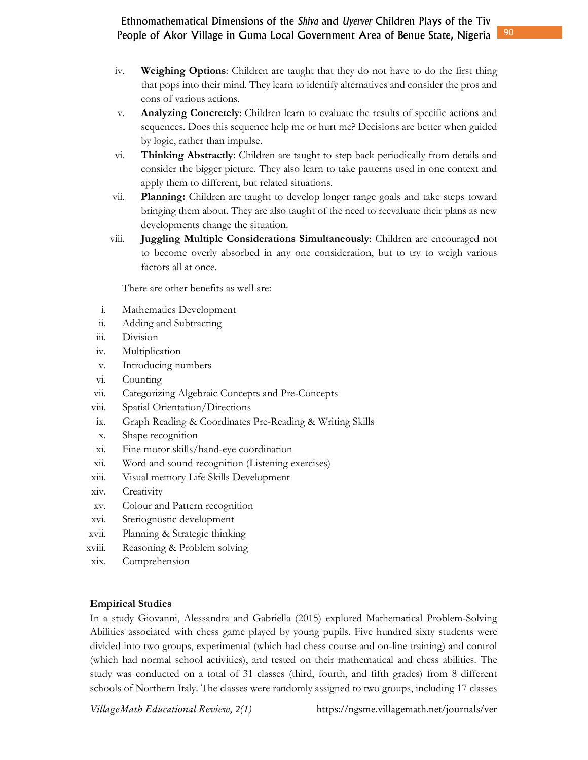- iv. **Weighing Options**: Children are taught that they do not have to do the first thing that pops into their mind. They learn to identify alternatives and consider the pros and cons of various actions.
- v. **Analyzing Concretely**: Children learn to evaluate the results of specific actions and sequences. Does this sequence help me or hurt me? Decisions are better when guided by logic, rather than impulse.
- vi. **Thinking Abstractly**: Children are taught to step back periodically from details and consider the bigger picture. They also learn to take patterns used in one context and apply them to different, but related situations.
- vii. **Planning:** Children are taught to develop longer range goals and take steps toward bringing them about. They are also taught of the need to reevaluate their plans as new developments change the situation.
- viii. **Juggling Multiple Considerations Simultaneously**: Children are encouraged not to become overly absorbed in any one consideration, but to try to weigh various factors all at once.

There are other benefits as well are:

- i. Mathematics Development
- ii. Adding and Subtracting
- iii. Division
- iv. Multiplication
- v. Introducing numbers
- vi. Counting
- vii. Categorizing Algebraic Concepts and Pre-Concepts
- viii. Spatial Orientation/Directions
- ix. Graph Reading & Coordinates Pre-Reading & Writing Skills
- x. Shape recognition
- xi. Fine motor skills/hand-eye coordination
- xii. Word and sound recognition (Listening exercises)
- xiii. Visual memory Life Skills Development
- xiv. Creativity
- xv. Colour and Pattern recognition
- xvi. Steriognostic development
- xvii. Planning & Strategic thinking
- xviii. Reasoning & Problem solving
- xix. Comprehension

### **Empirical Studies**

In a study Giovanni, Alessandra and Gabriella (2015) explored Mathematical Problem-Solving Abilities associated with chess game played by young pupils. Five hundred sixty students were divided into two groups, experimental (which had chess course and on-line training) and control (which had normal school activities), and tested on their mathematical and chess abilities. The study was conducted on a total of 31 classes (third, fourth, and fifth grades) from 8 different schools of Northern Italy. The classes were randomly assigned to two groups, including 17 classes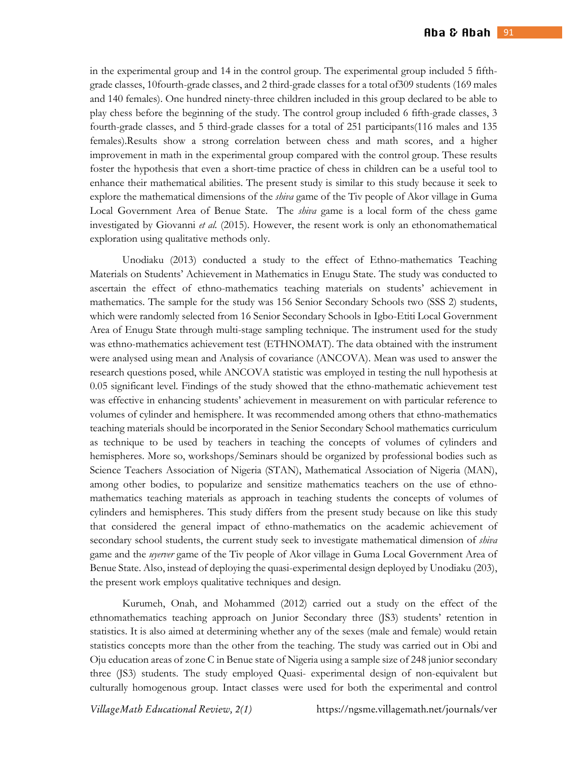in the experimental group and 14 in the control group. The experimental group included 5 fifthgrade classes, 10fourth-grade classes, and 2 third-grade classes for a total of309 students (169 males and 140 females). One hundred ninety-three children included in this group declared to be able to play chess before the beginning of the study. The control group included 6 fifth-grade classes, 3 fourth-grade classes, and 5 third-grade classes for a total of 251 participants(116 males and 135 females).Results show a strong correlation between chess and math scores, and a higher improvement in math in the experimental group compared with the control group. These results foster the hypothesis that even a short-time practice of chess in children can be a useful tool to enhance their mathematical abilities. The present study is similar to this study because it seek to explore the mathematical dimensions of the *shiva* game of the Tiv people of Akor village in Guma Local Government Area of Benue State. The *shiva* game is a local form of the chess game investigated by Giovanni *et al.* (2015). However, the resent work is only an ethonomathematical exploration using qualitative methods only.

 Unodiaku (2013) conducted a study to the effect of Ethno-mathematics Teaching Materials on Students' Achievement in Mathematics in Enugu State. The study was conducted to ascertain the effect of ethno-mathematics teaching materials on students' achievement in mathematics. The sample for the study was 156 Senior Secondary Schools two (SSS 2) students, which were randomly selected from 16 Senior Secondary Schools in Igbo-Etiti Local Government Area of Enugu State through multi-stage sampling technique. The instrument used for the study was ethno-mathematics achievement test (ETHNOMAT). The data obtained with the instrument were analysed using mean and Analysis of covariance (ANCOVA). Mean was used to answer the research questions posed, while ANCOVA statistic was employed in testing the null hypothesis at 0.05 significant level. Findings of the study showed that the ethno-mathematic achievement test was effective in enhancing students' achievement in measurement on with particular reference to volumes of cylinder and hemisphere. It was recommended among others that ethno-mathematics teaching materials should be incorporated in the Senior Secondary School mathematics curriculum as technique to be used by teachers in teaching the concepts of volumes of cylinders and hemispheres. More so, workshops/Seminars should be organized by professional bodies such as Science Teachers Association of Nigeria (STAN), Mathematical Association of Nigeria (MAN), among other bodies, to popularize and sensitize mathematics teachers on the use of ethnomathematics teaching materials as approach in teaching students the concepts of volumes of cylinders and hemispheres. This study differs from the present study because on like this study that considered the general impact of ethno-mathematics on the academic achievement of secondary school students, the current study seek to investigate mathematical dimension of *shiva* game and the *uyerver* game of the Tiv people of Akor village in Guma Local Government Area of Benue State. Also, instead of deploying the quasi-experimental design deployed by Unodiaku (203), the present work employs qualitative techniques and design.

Kurumeh, Onah, and Mohammed (2012) carried out a study on the effect of the ethnomathematics teaching approach on Junior Secondary three (JS3) students' retention in statistics. It is also aimed at determining whether any of the sexes (male and female) would retain statistics concepts more than the other from the teaching. The study was carried out in Obi and Oju education areas of zone C in Benue state of Nigeria using a sample size of 248 junior secondary three (JS3) students. The study employed Quasi- experimental design of non-equivalent but culturally homogenous group. Intact classes were used for both the experimental and control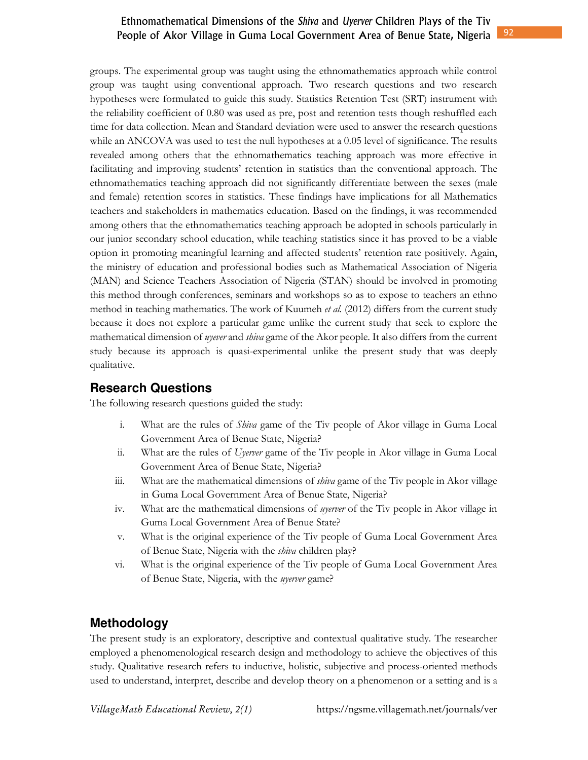groups. The experimental group was taught using the ethnomathematics approach while control group was taught using conventional approach. Two research questions and two research hypotheses were formulated to guide this study. Statistics Retention Test (SRT) instrument with the reliability coefficient of 0.80 was used as pre, post and retention tests though reshuffled each time for data collection. Mean and Standard deviation were used to answer the research questions while an ANCOVA was used to test the null hypotheses at a 0.05 level of significance. The results revealed among others that the ethnomathematics teaching approach was more effective in facilitating and improving students' retention in statistics than the conventional approach. The ethnomathematics teaching approach did not significantly differentiate between the sexes (male and female) retention scores in statistics. These findings have implications for all Mathematics teachers and stakeholders in mathematics education. Based on the findings, it was recommended among others that the ethnomathematics teaching approach be adopted in schools particularly in our junior secondary school education, while teaching statistics since it has proved to be a viable option in promoting meaningful learning and affected students' retention rate positively. Again, the ministry of education and professional bodies such as Mathematical Association of Nigeria (MAN) and Science Teachers Association of Nigeria (STAN) should be involved in promoting this method through conferences, seminars and workshops so as to expose to teachers an ethno method in teaching mathematics. The work of Kuumeh *et al.* (2012) differs from the current study because it does not explore a particular game unlike the current study that seek to explore the mathematical dimension of *uyever* and *shiva* game of the Akor people. It also differs from the current study because its approach is quasi-experimental unlike the present study that was deeply qualitative.

## **Research Questions**

The following research questions guided the study:

- i. What are the rules of *Shiva* game of the Tiv people of Akor village in Guma Local Government Area of Benue State, Nigeria?
- ii. What are the rules of *Uyerver* game of the Tiv people in Akor village in Guma Local Government Area of Benue State, Nigeria?
- iii. What are the mathematical dimensions of *shiva* game of the Tiv people in Akor village in Guma Local Government Area of Benue State, Nigeria?
- iv. What are the mathematical dimensions of *uyerver* of the Tiv people in Akor village in Guma Local Government Area of Benue State?
- v. What is the original experience of the Tiv people of Guma Local Government Area of Benue State, Nigeria with the *shiva* children play?
- vi. What is the original experience of the Tiv people of Guma Local Government Area of Benue State, Nigeria, with the *uyerver* game?

## **Methodology**

The present study is an exploratory, descriptive and contextual qualitative study. The researcher employed a phenomenological research design and methodology to achieve the objectives of this study. Qualitative research refers to inductive, holistic, subjective and process-oriented methods used to understand, interpret, describe and develop theory on a phenomenon or a setting and is a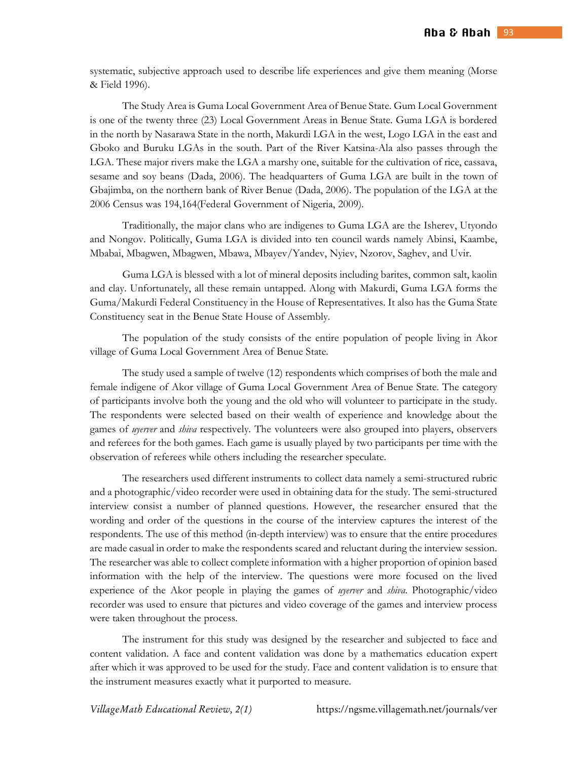systematic, subjective approach used to describe life experiences and give them meaning (Morse & Field 1996).

The Study Area is Guma Local Government Area of Benue State. Gum Local Government is one of the twenty three (23) Local Government Areas in Benue State. Guma LGA is bordered in the north by Nasarawa State in the north, Makurdi LGA in the west, Logo LGA in the east and Gboko and Buruku LGAs in the south. Part of the River Katsina-Ala also passes through the LGA. These major rivers make the LGA a marshy one, suitable for the cultivation of rice, cassava, sesame and soy beans (Dada, 2006). The headquarters of Guma LGA are built in the town of Gbajimba, on the northern bank of River Benue (Dada, 2006). The population of the LGA at the 2006 Census was 194,164(Federal Government of Nigeria, 2009).

Traditionally, the major clans who are indigenes to Guma LGA are the Isherev, Utyondo and Nongov. Politically, Guma LGA is divided into ten council wards namely Abinsi, Kaambe, Mbabai, Mbagwen, Mbagwen, Mbawa, Mbayev/Yandev, Nyiev, Nzorov, Saghev, and Uvir.

Guma LGA is blessed with a lot of mineral deposits including barites, common salt, kaolin and clay. Unfortunately, all these remain untapped. Along with Makurdi, Guma LGA forms the Guma/Makurdi Federal Constituency in the House of Representatives. It also has the Guma State Constituency seat in the Benue State House of Assembly.

The population of the study consists of the entire population of people living in Akor village of Guma Local Government Area of Benue State.

The study used a sample of twelve (12) respondents which comprises of both the male and female indigene of Akor village of Guma Local Government Area of Benue State. The category of participants involve both the young and the old who will volunteer to participate in the study. The respondents were selected based on their wealth of experience and knowledge about the games of *uyerver* and *shiva* respectively. The volunteers were also grouped into players, observers and referees for the both games. Each game is usually played by two participants per time with the observation of referees while others including the researcher speculate.

The researchers used different instruments to collect data namely a semi-structured rubric and a photographic/video recorder were used in obtaining data for the study. The semi-structured interview consist a number of planned questions. However, the researcher ensured that the wording and order of the questions in the course of the interview captures the interest of the respondents. The use of this method (in-depth interview) was to ensure that the entire procedures are made casual in order to make the respondents scared and reluctant during the interview session. The researcher was able to collect complete information with a higher proportion of opinion based information with the help of the interview. The questions were more focused on the lived experience of the Akor people in playing the games of *uyerver* and *shiva*. Photographic/video recorder was used to ensure that pictures and video coverage of the games and interview process were taken throughout the process.

The instrument for this study was designed by the researcher and subjected to face and content validation. A face and content validation was done by a mathematics education expert after which it was approved to be used for the study. Face and content validation is to ensure that the instrument measures exactly what it purported to measure.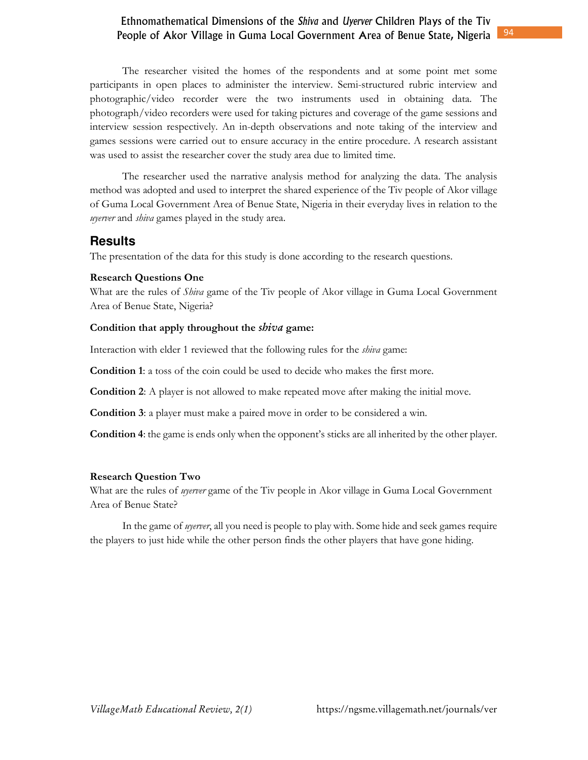The researcher visited the homes of the respondents and at some point met some participants in open places to administer the interview. Semi-structured rubric interview and photographic/video recorder were the two instruments used in obtaining data. The photograph/video recorders were used for taking pictures and coverage of the game sessions and interview session respectively. An in-depth observations and note taking of the interview and games sessions were carried out to ensure accuracy in the entire procedure. A research assistant was used to assist the researcher cover the study area due to limited time.

The researcher used the narrative analysis method for analyzing the data. The analysis method was adopted and used to interpret the shared experience of the Tiv people of Akor village of Guma Local Government Area of Benue State, Nigeria in their everyday lives in relation to the *uyerver* and *shiva* games played in the study area.

## **Results**

The presentation of the data for this study is done according to the research questions.

#### **Research Questions One**

What are the rules of *Shiva* game of the Tiv people of Akor village in Guma Local Government Area of Benue State, Nigeria?

#### **Condition that apply throughout the** *shiva* **game:**

Interaction with elder 1 reviewed that the following rules for the *shiva* game:

**Condition 1**: a toss of the coin could be used to decide who makes the first more.

**Condition 2**: A player is not allowed to make repeated move after making the initial move.

**Condition 3**: a player must make a paired move in order to be considered a win.

**Condition 4**: the game is ends only when the opponent's sticks are all inherited by the other player.

#### **Research Question Two**

What are the rules of *uyerver* game of the Tiv people in Akor village in Guma Local Government Area of Benue State?

In the game of *uyerver*, all you need is people to play with. Some hide and seek games require the players to just hide while the other person finds the other players that have gone hiding.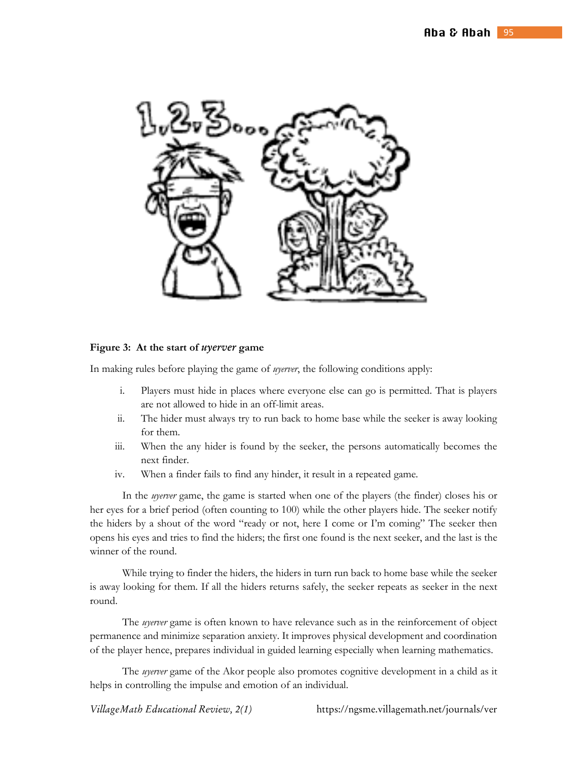

#### **Figure 3: At the start of** *uyerver* **game**

In making rules before playing the game of *uyerver*, the following conditions apply:

- i. Players must hide in places where everyone else can go is permitted. That is players are not allowed to hide in an off-limit areas.
- ii. The hider must always try to run back to home base while the seeker is away looking for them.
- iii. When the any hider is found by the seeker, the persons automatically becomes the next finder.
- iv. When a finder fails to find any hinder, it result in a repeated game.

In the *uyerver* game, the game is started when one of the players (the finder) closes his or her eyes for a brief period (often counting to 100) while the other players hide. The seeker notify the hiders by a shout of the word "ready or not, here I come or I'm coming" The seeker then opens his eyes and tries to find the hiders; the first one found is the next seeker, and the last is the winner of the round.

While trying to finder the hiders, the hiders in turn run back to home base while the seeker is away looking for them. If all the hiders returns safely, the seeker repeats as seeker in the next round.

The *uyerver* game is often known to have relevance such as in the reinforcement of object permanence and minimize separation anxiety. It improves physical development and coordination of the player hence, prepares individual in guided learning especially when learning mathematics.

The *uyerver* game of the Akor people also promotes cognitive development in a child as it helps in controlling the impulse and emotion of an individual.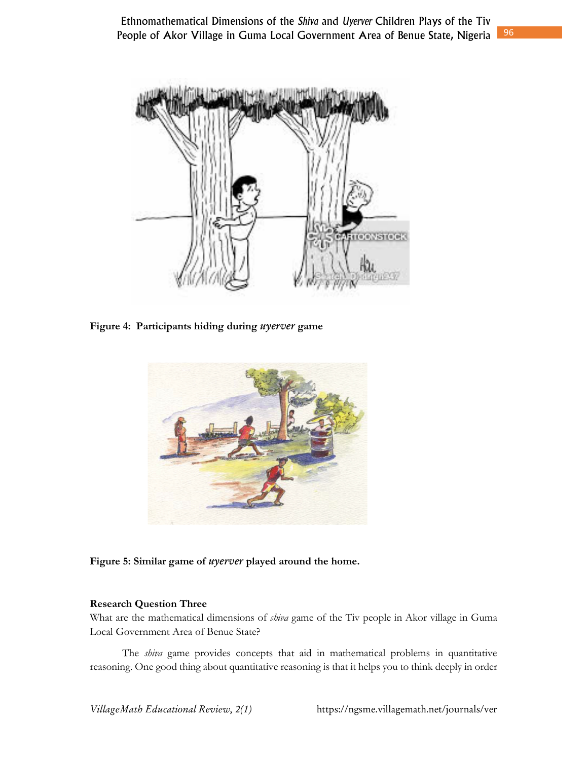

**Figure 4: Participants hiding during** *uyerver* **game** 



### **Figure 5: Similar game of** *uyerver* **played around the home.**

### **Research Question Three**

What are the mathematical dimensions of *shiva* game of the Tiv people in Akor village in Guma Local Government Area of Benue State?

The *shiva* game provides concepts that aid in mathematical problems in quantitative reasoning. One good thing about quantitative reasoning is that it helps you to think deeply in order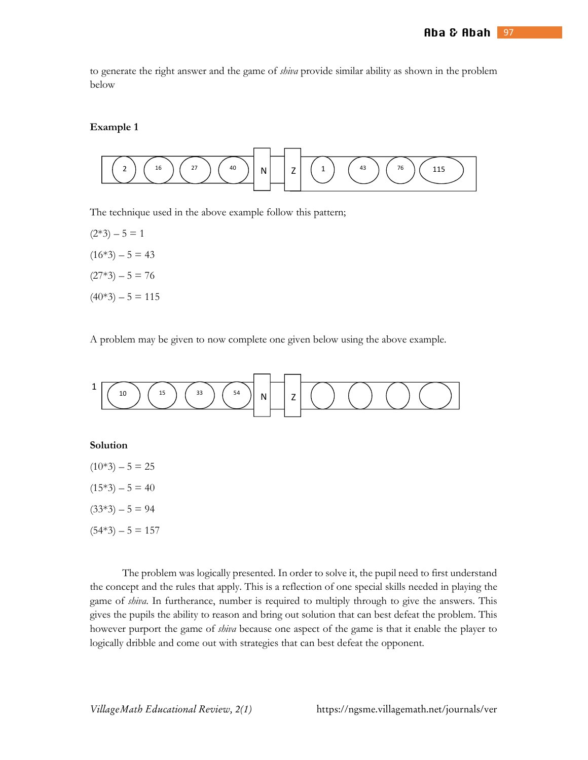to generate the right answer and the game of *shiva* provide similar ability as shown in the problem below

#### **Example 1**



The technique used in the above example follow this pattern;

 $(2*3) - 5 = 1$  $(16*3) - 5 = 43$  $(27*3) - 5 = 76$  $(40*3) - 5 = 115$ 

A problem may be given to now complete one given below using the above example.



The problem was logically presented. In order to solve it, the pupil need to first understand the concept and the rules that apply. This is a reflection of one special skills needed in playing the game of *shiva*. In furtherance, number is required to multiply through to give the answers. This gives the pupils the ability to reason and bring out solution that can best defeat the problem. This however purport the game of *shiva* because one aspect of the game is that it enable the player to logically dribble and come out with strategies that can best defeat the opponent.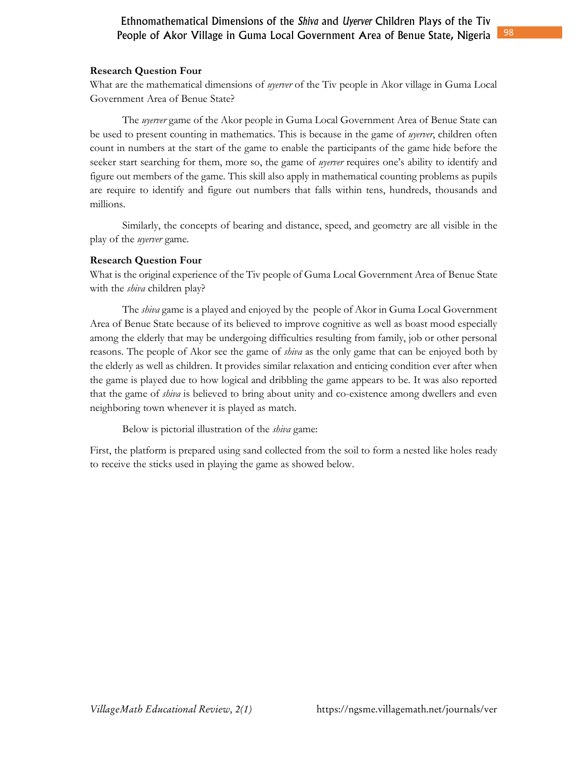## **Research Question Four**

What are the mathematical dimensions of *uyerver* of the Tiv people in Akor village in Guma Local Government Area of Benue State?

The *uyerver* game of the Akor people in Guma Local Government Area of Benue State can be used to present counting in mathematics. This is because in the game of *uyerver*, children often count in numbers at the start of the game to enable the participants of the game hide before the seeker start searching for them, more so, the game of *uyerver* requires one's ability to identify and figure out members of the game. This skill also apply in mathematical counting problems as pupils are require to identify and figure out numbers that falls within tens, hundreds, thousands and millions.

Similarly, the concepts of bearing and distance, speed, and geometry are all visible in the play of the *uyerver* game.

## **Research Question Four**

What is the original experience of the Tiv people of Guma Local Government Area of Benue State with the *shiva* children play?

The *shiva* game is a played and enjoyed by the people of Akor in Guma Local Government Area of Benue State because of its believed to improve cognitive as well as boast mood especially among the elderly that may be undergoing difficulties resulting from family, job or other personal reasons. The people of Akor see the game of *shiva* as the only game that can be enjoyed both by the elderly as well as children. It provides similar relaxation and enticing condition ever after when the game is played due to how logical and dribbling the game appears to be. It was also reported that the game of *shiva* is believed to bring about unity and co-existence among dwellers and even neighboring town whenever it is played as match.

Below is pictorial illustration of the *shiva* game:

First, the platform is prepared using sand collected from the soil to form a nested like holes ready to receive the sticks used in playing the game as showed below.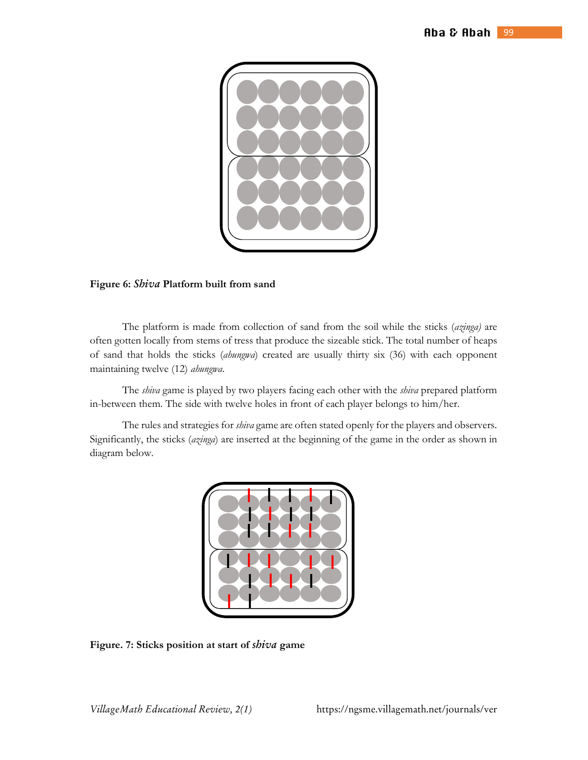

#### **Figure 6:** *Shiva* **Platform built from sand**

The platform is made from collection of sand from the soil while the sticks (*azinga)* are often gotten locally from stems of tress that produce the sizeable stick. The total number of heaps of sand that holds the sticks (*ahungwa*) created are usually thirty six (36) with each opponent maintaining twelve (12) *ahungwa*.

The *shiva* game is played by two players facing each other with the *shiva* prepared platform in-between them. The side with twelve holes in front of each player belongs to him/her.

The rules and strategies for *shiva* game are often stated openly for the players and observers. Significantly, the sticks (*azinga*) are inserted at the beginning of the game in the order as shown in diagram below.



**Figure. 7: Sticks position at start of** *shiva* **game**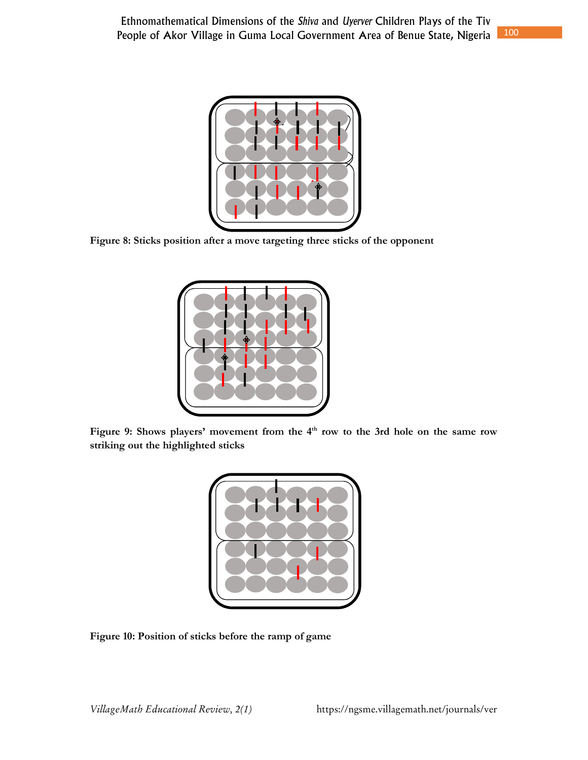

**Figure 8: Sticks position after a move targeting three sticks of the opponent** 



**Figure 9: Shows players' movement from the 4th row to the 3rd hole on the same row striking out the highlighted sticks** 



**Figure 10: Position of sticks before the ramp of game**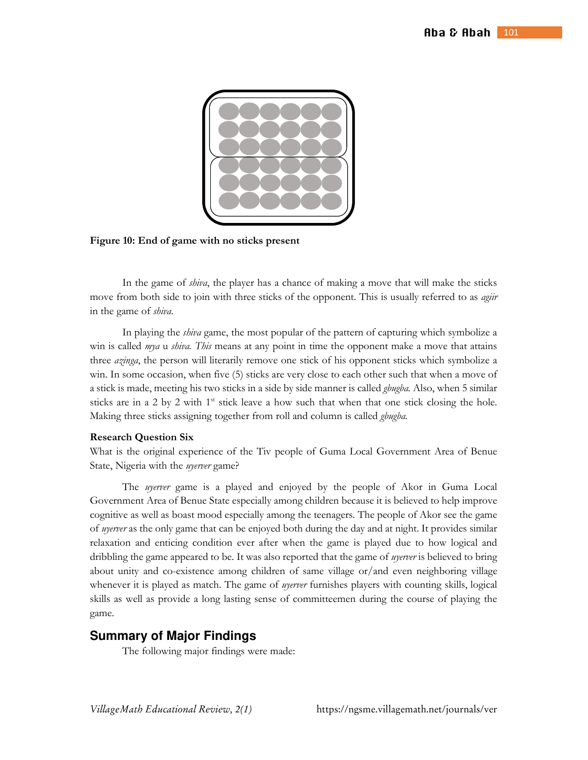

**Figure 10: End of game with no sticks present** 

In the game of *shiva*, the player has a chance of making a move that will make the sticks move from both side to join with three sticks of the opponent. This is usually referred to as *agiir* in the game of *shiva*.

In playing the *shiva* game, the most popular of the pattern of capturing which symbolize a win is called *mya* u *shiva. This* means at any point in time the opponent make a move that attains three *azinga*, the person will literarily remove one stick of his opponent sticks which symbolize a win. In some occasion, when five (5) sticks are very close to each other such that when a move of a stick is made, meeting his two sticks in a side by side manner is called *gbugba.* Also, when 5 similar sticks are in a 2 by 2 with  $1<sup>st</sup>$  stick leave a how such that when that one stick closing the hole. Making three sticks assigning together from roll and column is called *gbugba.*

#### **Research Question Six**

What is the original experience of the Tiv people of Guma Local Government Area of Benue State, Nigeria with the *uyerver* game?

The *uyerver* game is a played and enjoyed by the people of Akor in Guma Local Government Area of Benue State especially among children because it is believed to help improve cognitive as well as boast mood especially among the teenagers. The people of Akor see the game of *uyerver* as the only game that can be enjoyed both during the day and at night. It provides similar relaxation and enticing condition ever after when the game is played due to how logical and dribbling the game appeared to be. It was also reported that the game of *uyerver* is believed to bring about unity and co-existence among children of same village or/and even neighboring village whenever it is played as match. The game of *uyerver* furnishes players with counting skills, logical skills as well as provide a long lasting sense of committeemen during the course of playing the game.

### **Summary of Major Findings**

The following major findings were made: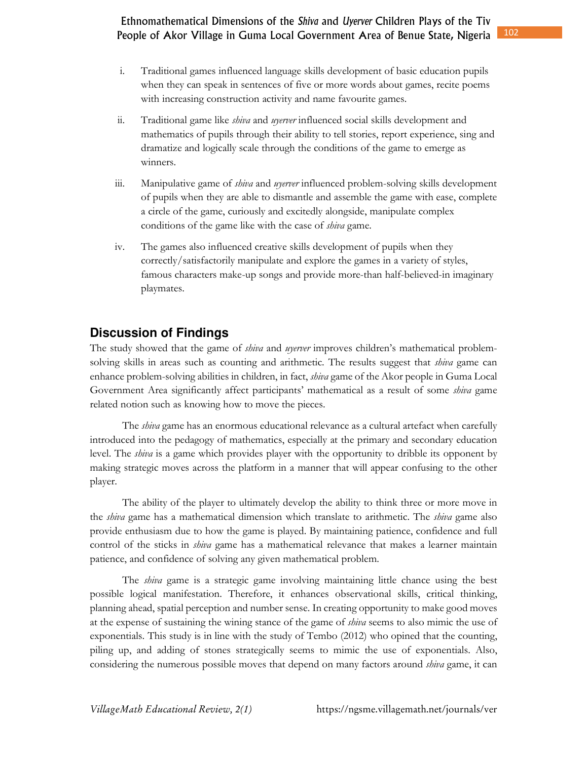- i. Traditional games influenced language skills development of basic education pupils when they can speak in sentences of five or more words about games, recite poems with increasing construction activity and name favourite games.
- ii. Traditional game like *shiva* and *uyerver* influenced social skills development and mathematics of pupils through their ability to tell stories, report experience, sing and dramatize and logically scale through the conditions of the game to emerge as winners.
- iii. Manipulative game of *shiva* and *uyerver* influenced problem-solving skills development of pupils when they are able to dismantle and assemble the game with ease, complete a circle of the game, curiously and excitedly alongside, manipulate complex conditions of the game like with the case of *shiva* game.
- iv. The games also influenced creative skills development of pupils when they correctly/satisfactorily manipulate and explore the games in a variety of styles, famous characters make-up songs and provide more-than half-believed-in imaginary playmates.

## **Discussion of Findings**

The study showed that the game of *shiva* and *uyerver* improves children's mathematical problemsolving skills in areas such as counting and arithmetic. The results suggest that *shiva* game can enhance problem-solving abilities in children, in fact, *shiva* game of the Akor people in Guma Local Government Area significantly affect participants' mathematical as a result of some *shiva* game related notion such as knowing how to move the pieces.

The *shiva* game has an enormous educational relevance as a cultural artefact when carefully introduced into the pedagogy of mathematics, especially at the primary and secondary education level. The *shiva* is a game which provides player with the opportunity to dribble its opponent by making strategic moves across the platform in a manner that will appear confusing to the other player.

The ability of the player to ultimately develop the ability to think three or more move in the *shiva* game has a mathematical dimension which translate to arithmetic. The *shiva* game also provide enthusiasm due to how the game is played. By maintaining patience, confidence and full control of the sticks in *shiva* game has a mathematical relevance that makes a learner maintain patience, and confidence of solving any given mathematical problem.

The *shiva* game is a strategic game involving maintaining little chance using the best possible logical manifestation. Therefore, it enhances observational skills, critical thinking, planning ahead, spatial perception and number sense. In creating opportunity to make good moves at the expense of sustaining the wining stance of the game of *shiva* seems to also mimic the use of exponentials. This study is in line with the study of Tembo (2012) who opined that the counting, piling up, and adding of stones strategically seems to mimic the use of exponentials. Also, considering the numerous possible moves that depend on many factors around *shiva* game, it can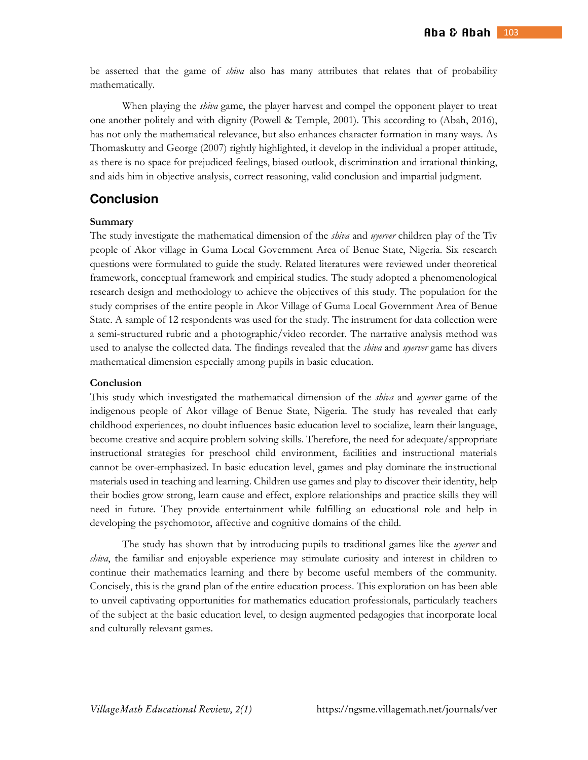be asserted that the game of *shiva* also has many attributes that relates that of probability mathematically.

When playing the *shiva* game, the player harvest and compel the opponent player to treat one another politely and with dignity (Powell & Temple, 2001). This according to (Abah, 2016), has not only the mathematical relevance, but also enhances character formation in many ways. As Thomaskutty and George (2007) rightly highlighted, it develop in the individual a proper attitude, as there is no space for prejudiced feelings, biased outlook, discrimination and irrational thinking, and aids him in objective analysis, correct reasoning, valid conclusion and impartial judgment.

## **Conclusion**

#### **Summary**

The study investigate the mathematical dimension of the *shiva* and *uyerver* children play of the Tiv people of Akor village in Guma Local Government Area of Benue State, Nigeria. Six research questions were formulated to guide the study. Related literatures were reviewed under theoretical framework, conceptual framework and empirical studies. The study adopted a phenomenological research design and methodology to achieve the objectives of this study. The population for the study comprises of the entire people in Akor Village of Guma Local Government Area of Benue State. A sample of 12 respondents was used for the study. The instrument for data collection were a semi-structured rubric and a photographic/video recorder. The narrative analysis method was used to analyse the collected data. The findings revealed that the *shiva* and *uyerver* game has divers mathematical dimension especially among pupils in basic education.

#### **Conclusion**

This study which investigated the mathematical dimension of the *shiva* and *uyerver* game of the indigenous people of Akor village of Benue State, Nigeria. The study has revealed that early childhood experiences, no doubt influences basic education level to socialize, learn their language, become creative and acquire problem solving skills. Therefore, the need for adequate/appropriate instructional strategies for preschool child environment, facilities and instructional materials cannot be over-emphasized. In basic education level, games and play dominate the instructional materials used in teaching and learning. Children use games and play to discover their identity, help their bodies grow strong, learn cause and effect, explore relationships and practice skills they will need in future. They provide entertainment while fulfilling an educational role and help in developing the psychomotor, affective and cognitive domains of the child.

The study has shown that by introducing pupils to traditional games like the *uyerver* and *shiva*, the familiar and enjoyable experience may stimulate curiosity and interest in children to continue their mathematics learning and there by become useful members of the community. Concisely, this is the grand plan of the entire education process. This exploration on has been able to unveil captivating opportunities for mathematics education professionals, particularly teachers of the subject at the basic education level, to design augmented pedagogies that incorporate local and culturally relevant games.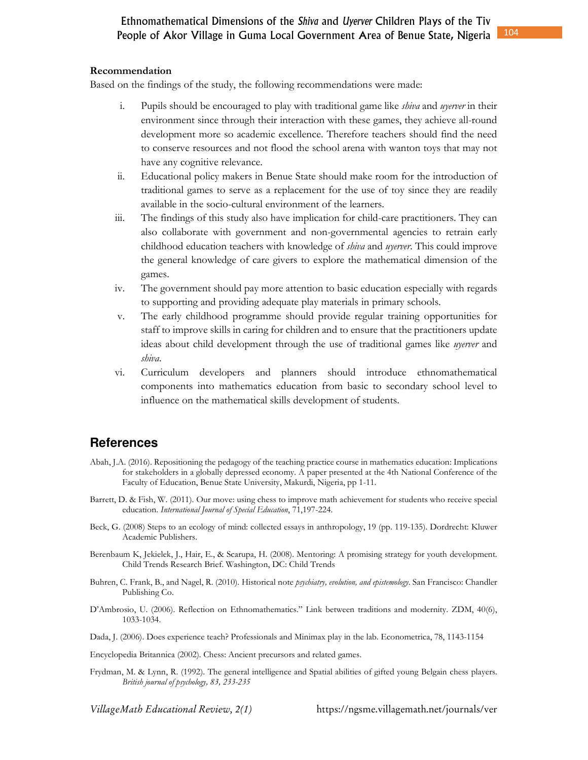#### **Recommendation**

Based on the findings of the study, the following recommendations were made:

- i. Pupils should be encouraged to play with traditional game like *shiva* and *uyerver* in their environment since through their interaction with these games, they achieve all-round development more so academic excellence. Therefore teachers should find the need to conserve resources and not flood the school arena with wanton toys that may not have any cognitive relevance.
- ii. Educational policy makers in Benue State should make room for the introduction of traditional games to serve as a replacement for the use of toy since they are readily available in the socio-cultural environment of the learners.
- iii. The findings of this study also have implication for child-care practitioners. They can also collaborate with government and non-governmental agencies to retrain early childhood education teachers with knowledge of *shiva* and *uyerver*. This could improve the general knowledge of care givers to explore the mathematical dimension of the games.
- iv. The government should pay more attention to basic education especially with regards to supporting and providing adequate play materials in primary schools.
- v. The early childhood programme should provide regular training opportunities for staff to improve skills in caring for children and to ensure that the practitioners update ideas about child development through the use of traditional games like *uyerver* and *shiva*.
- vi. Curriculum developers and planners should introduce ethnomathematical components into mathematics education from basic to secondary school level to influence on the mathematical skills development of students.

## **References**

- Abah, J.A. (2016). Repositioning the pedagogy of the teaching practice course in mathematics education: Implications for stakeholders in a globally depressed economy. A paper presented at the 4th National Conference of the Faculty of Education, Benue State University, Makurdi, Nigeria, pp 1-11.
- Barrett, D. & Fish, W. (2011). Our move: using chess to improve math achievement for students who receive special education. *International Journal of Special Education*, 71,197-224.
- Beck, G. (2008) Steps to an ecology of mind: collected essays in anthropology, 19 (pp. 119-135). Dordrecht: Kluwer Academic Publishers.
- Berenbaum K, Jekielek, J., Hair, E., & Scarupa, H. (2008). Mentoring: A promising strategy for youth development. Child Trends Research Brief. Washington, DC: Child Trends
- Buhren, C. Frank, B., and Nagel, R. (2010). Historical note *psychiatry, evolution, and epistemology*. San Francisco: Chandler Publishing Co.
- D'Ambrosio, U. (2006). Reflection on Ethnomathematics." Link between traditions and modernity. ZDM, 40(6), 1033-1034.
- Dada, J. (2006). Does experience teach? Professionals and Minimax play in the lab. Econometrica, 78, 1143-1154
- Encyclopedia Britannica (2002). Chess: Ancient precursors and related games.
- Frydman, M. & Lynn, R. (1992). The general intelligence and Spatial abilities of gifted young Belgain chess players. *British journal of psychology, 83, 233-235*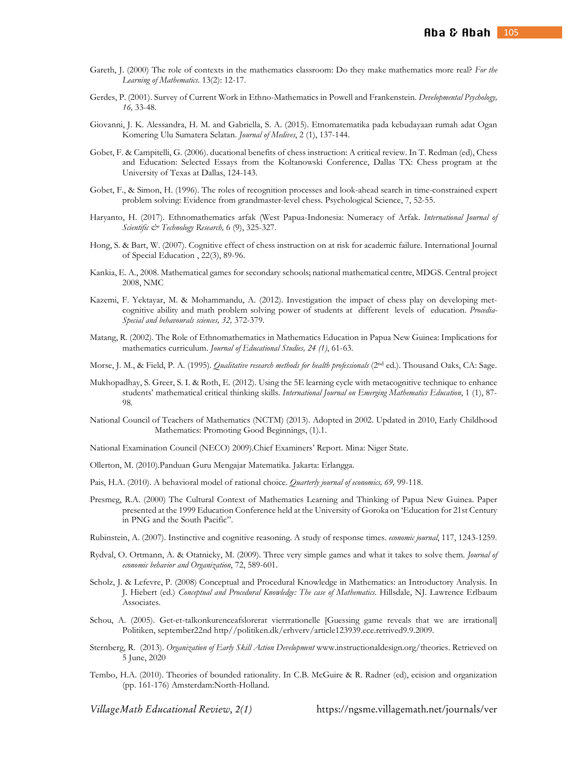- Gareth, J. (2000) The role of contexts in the mathematics classroom: Do they make mathematics more real? *For the Learning of Mathematics*. 13(2): 12-17.
- Gerdes, P. (2001). Survey of Current Work in Ethno-Mathematics in Powell and Frankenstein. *Developmental Psychology, 16,* 33-48.
- Giovanni, J. K. Alessandra, H. M. and Gabriella, S. A. (2015). Etnomatematika pada kebudayaan rumah adat Ogan Komering Ulu Sumatera Selatan. *Journal of Medives*, 2 (1), 137-144.
- Gobet, F. & Campitelli, G. (2006). ducational benefits of chess instruction: A critical review. In T. Redman (ed), Chess and Education: Selected Essays from the Koltanowski Conference, Dallas TX: Chess program at the University of Texas at Dallas, 124-143.
- Gobet, F., & Simon, H. (1996). The roles of recognition processes and look-ahead search in time-constrained expert problem solving: Evidence from grandmaster-level chess. Psychological Science, 7, 52-55.
- Haryanto, H. (2017). Ethnomathematics arfak (West Papua-Indonesia: Numeracy of Arfak. *International Journal of Scientific & Technology Research,* 6 (9), 325-327.
- Hong, S. & Bart, W. (2007). Cognitive effect of chess instruction on at risk for academic failure. International Journal of Special Education , 22(3), 89-96.
- Kankia, E. A., 2008. Mathematical games for secondary schools; national mathematical centre, MDGS. Central project 2008, NMC
- Kazemi, F. Yektayar, M. & Mohammandu, A. (2012). Investigation the impact of chess play on developing metcognitive ability and math problem solving power of students at different levels of education. *Procedia-Special and behavourals sciences, 32,* 372-379.
- Matang, R. (2002). The Role of Ethnomathematics in Mathematics Education in Papua New Guinea: Implications for mathematics curriculum. *Journal of Educational Studies, 24 (1)*, 61-63.
- Morse, J. M., & Field, P. A. (1995). *Qualitative research methods for health professionals* (2<sup>nd</sup> ed.). Thousand Oaks, CA: Sage.
- Mukhopadhay, S. Greer, S. I. & Roth, E. (2012). Using the 5E learning cycle with metacognitive technique to enhance students' mathematical critical thinking skills. *International Journal on Emerging Mathematics Education*, 1 (1), 87- 98.
- National Council of Teachers of Mathematics (NCTM) (2013). Adopted in 2002. Updated in 2010, Early Childhood Mathematics: Promoting Good Beginnings, (1).1.
- National Examination Council (NECO) 2009).Chief Examiners' Report. Mina: Niger State.
- Ollerton, M. (2010).Panduan Guru Mengajar Matematika. Jakarta: Erlangga.
- Pais, H.A. (2010). A behavioral model of rational choice. *Quarterly journal of economics, 69,* 99-118.
- Presmeg, R.A. (2000) The Cultural Context of Mathematics Learning and Thinking of Papua New Guinea. Paper presented at the 1999 Education Conference held at the University of Goroka on 'Education for 21st Century in PNG and the South Pacific".

Rubinstein, A. (2007). Instinctive and cognitive reasoning. A study of response times. *economic journal*, 117, 1243-1259.

- Rydval, O. Ortmann, A. & Otatnicky, M. (2009). Three very simple games and what it takes to solve them. *Journal of economic behavior and Organization*, 72, 589-601.
- Scholz, J. & Lefevre, P. (2008) Conceptual and Procedural Knowledge in Mathematics: an Introductory Analysis. In J. Hiebert (ed.) *Conceptual and Procedural Knowledge: The case of Mathematics*. Hillsdale, NJ. Lawrence Erlbaum Associates.
- Schou, A. (2005). Get-et-talkonkurenceafslorerat vierrrationelle [Guessing game reveals that we are irrational] Politiken, september22nd http//politiken.dk/erhverv/article123939.ece.retrived9.9.2009.
- Sternberg, R. (2013). *Organization of Early Skill Action Development* www.instructionaldesign.org/theories. Retrieved on 5 June, 2020
- Tembo, H.A. (2010). Theories of bounded rationality. In C.B. McGuire & R. Radner (ed), ecision and organization (pp. 161-176) Amsterdam:North-Holland.